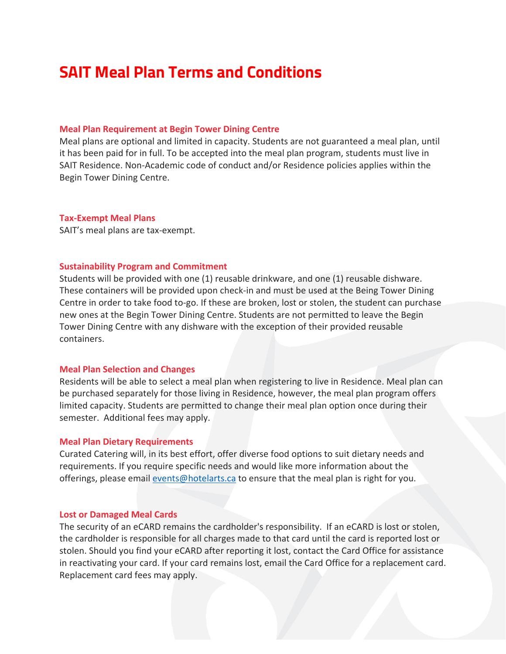# **SAIT Meal Plan Terms and Conditions**

## **Meal Plan Requirement at Begin Tower Dining Centre**

Meal plans are optional and limited in capacity. Students are not guaranteed a meal plan, until it has been paid for in full. To be accepted into the meal plan program, students must live in SAIT Residence. Non-Academic code of conduct and/or Residence policies applies within the Begin Tower Dining Centre.

## **Tax-Exempt Meal Plans**

SAIT's meal plans are tax-exempt.

## **Sustainability Program and Commitment**

Students will be provided with one (1) reusable drinkware, and one (1) reusable dishware. These containers will be provided upon check-in and must be used at the Being Tower Dining Centre in order to take food to-go. If these are broken, lost or stolen, the student can purchase new ones at the Begin Tower Dining Centre. Students are not permitted to leave the Begin Tower Dining Centre with any dishware with the exception of their provided reusable containers.

#### **Meal Plan Selection and Changes**

Residents will be able to select a meal plan when registering to live in Residence. Meal plan can be purchased separately for those living in Residence, however, the meal plan program offers limited capacity. Students are permitted to change their meal plan option once during their semester. Additional fees may apply.

#### **Meal Plan Dietary Requirements**

Curated Catering will, in its best effort, offer diverse food options to suit dietary needs and requirements. If you require specific needs and would like more information about the offerings, please email [events@hotelarts.ca](mailto:events@hotelarts.ca) to ensure that the meal plan is right for you.

#### **Lost or Damaged Meal Cards**

The security of an eCARD remains the cardholder's responsibility. If an eCARD is lost or stolen, the cardholder is responsible for all charges made to that card until the card is reported lost or stolen. Should you find your eCARD after reporting it lost, contact the Card Office for assistance in reactivating your card. If your card remains lost, email the Card Office for a replacement card. Replacement card fees may apply.